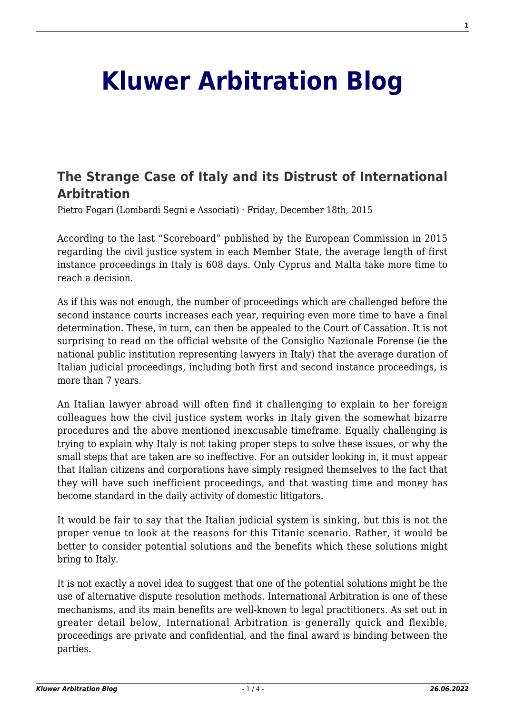## **[Kluwer Arbitration Blog](http://arbitrationblog.kluwerarbitration.com/)**

## **[The Strange Case of Italy and its Distrust of International](http://arbitrationblog.kluwerarbitration.com/2015/12/18/the-strange-case-of-italy-and-its-distrust-of-international-arbitration/) [Arbitration](http://arbitrationblog.kluwerarbitration.com/2015/12/18/the-strange-case-of-italy-and-its-distrust-of-international-arbitration/)**

Pietro Fogari (Lombardi Segni e Associati) · Friday, December 18th, 2015

According to the last "Scoreboard" published by the European Commission in 2015 regarding the civil justice system in each Member State, the average length of first instance proceedings in Italy is 608 days. Only Cyprus and Malta take more time to reach a decision.

As if this was not enough, the number of proceedings which are challenged before the second instance courts increases each year, requiring even more time to have a final determination. These, in turn, can then be appealed to the Court of Cassation. It is not surprising to read on the official website of the Consiglio Nazionale Forense (ie the national public institution representing lawyers in Italy) that the average duration of Italian judicial proceedings, including both first and second instance proceedings, is more than 7 years.

An Italian lawyer abroad will often find it challenging to explain to her foreign colleagues how the civil justice system works in Italy given the somewhat bizarre procedures and the above mentioned inexcusable timeframe. Equally challenging is trying to explain why Italy is not taking proper steps to solve these issues, or why the small steps that are taken are so ineffective. For an outsider looking in, it must appear that Italian citizens and corporations have simply resigned themselves to the fact that they will have such inefficient proceedings, and that wasting time and money has become standard in the daily activity of domestic litigators.

It would be fair to say that the Italian judicial system is sinking, but this is not the proper venue to look at the reasons for this Titanic scenario. Rather, it would be better to consider potential solutions and the benefits which these solutions might bring to Italy.

It is not exactly a novel idea to suggest that one of the potential solutions might be the use of alternative dispute resolution methods. International Arbitration is one of these mechanisms, and its main benefits are well-known to legal practitioners. As set out in greater detail below, International Arbitration is generally quick and flexible, proceedings are private and confidential, and the final award is binding between the parties.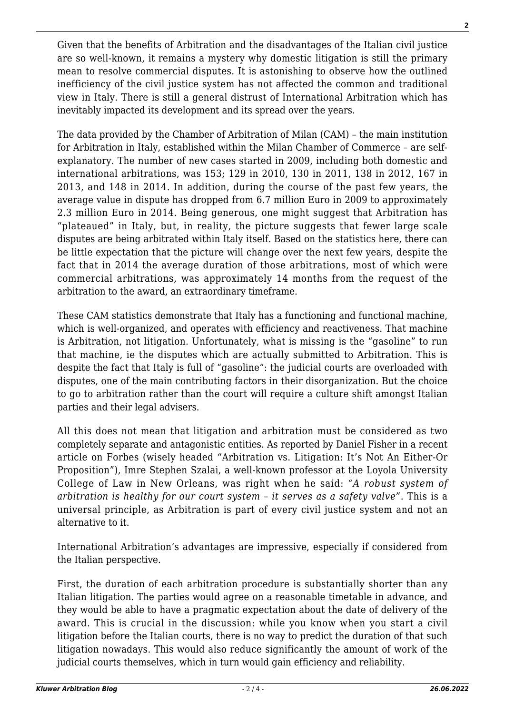Given that the benefits of Arbitration and the disadvantages of the Italian civil justice are so well-known, it remains a mystery why domestic litigation is still the primary mean to resolve commercial disputes. It is astonishing to observe how the outlined inefficiency of the civil justice system has not affected the common and traditional view in Italy. There is still a general distrust of International Arbitration which has inevitably impacted its development and its spread over the years.

The data provided by the Chamber of Arbitration of Milan (CAM) – the main institution for Arbitration in Italy, established within the Milan Chamber of Commerce – are selfexplanatory. The number of new cases started in 2009, including both domestic and international arbitrations, was 153; 129 in 2010, 130 in 2011, 138 in 2012, 167 in 2013, and 148 in 2014. In addition, during the course of the past few years, the average value in dispute has dropped from 6.7 million Euro in 2009 to approximately 2.3 million Euro in 2014. Being generous, one might suggest that Arbitration has "plateaued" in Italy, but, in reality, the picture suggests that fewer large scale disputes are being arbitrated within Italy itself. Based on the statistics here, there can be little expectation that the picture will change over the next few years, despite the fact that in 2014 the average duration of those arbitrations, most of which were commercial arbitrations, was approximately 14 months from the request of the arbitration to the award, an extraordinary timeframe.

These CAM statistics demonstrate that Italy has a functioning and functional machine, which is well-organized, and operates with efficiency and reactiveness. That machine is Arbitration, not litigation. Unfortunately, what is missing is the "gasoline" to run that machine, ie the disputes which are actually submitted to Arbitration. This is despite the fact that Italy is full of "gasoline": the judicial courts are overloaded with disputes, one of the main contributing factors in their disorganization. But the choice to go to arbitration rather than the court will require a culture shift amongst Italian parties and their legal advisers.

All this does not mean that litigation and arbitration must be considered as two completely separate and antagonistic entities. As reported by Daniel Fisher in a recent article on Forbes (wisely headed "Arbitration vs. Litigation: It's Not An Either-Or Proposition"), Imre Stephen Szalai, a well-known professor at the Loyola University College of Law in New Orleans, was right when he said: *"A robust system of arbitration is healthy for our court system – it serves as a safety valve"*. This is a universal principle, as Arbitration is part of every civil justice system and not an alternative to it.

International Arbitration's advantages are impressive, especially if considered from the Italian perspective.

First, the duration of each arbitration procedure is substantially shorter than any Italian litigation. The parties would agree on a reasonable timetable in advance, and they would be able to have a pragmatic expectation about the date of delivery of the award. This is crucial in the discussion: while you know when you start a civil litigation before the Italian courts, there is no way to predict the duration of that such litigation nowadays. This would also reduce significantly the amount of work of the judicial courts themselves, which in turn would gain efficiency and reliability.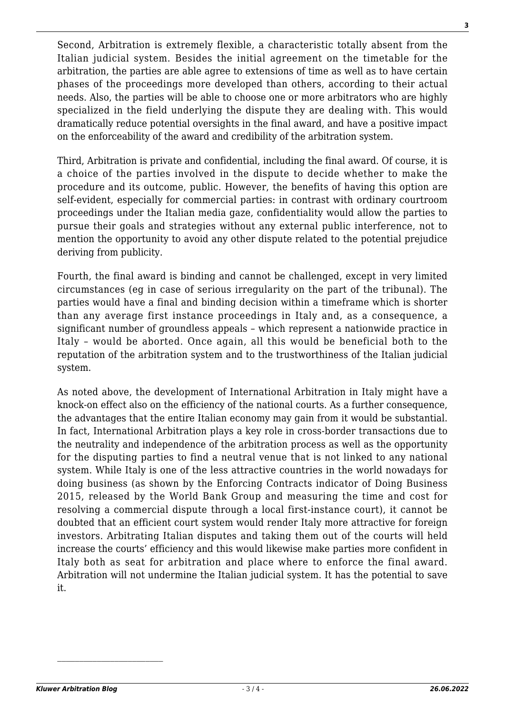Second, Arbitration is extremely flexible, a characteristic totally absent from the Italian judicial system. Besides the initial agreement on the timetable for the arbitration, the parties are able agree to extensions of time as well as to have certain phases of the proceedings more developed than others, according to their actual needs. Also, the parties will be able to choose one or more arbitrators who are highly specialized in the field underlying the dispute they are dealing with. This would dramatically reduce potential oversights in the final award, and have a positive impact on the enforceability of the award and credibility of the arbitration system.

Third, Arbitration is private and confidential, including the final award. Of course, it is a choice of the parties involved in the dispute to decide whether to make the procedure and its outcome, public. However, the benefits of having this option are self-evident, especially for commercial parties: in contrast with ordinary courtroom proceedings under the Italian media gaze, confidentiality would allow the parties to pursue their goals and strategies without any external public interference, not to mention the opportunity to avoid any other dispute related to the potential prejudice deriving from publicity.

Fourth, the final award is binding and cannot be challenged, except in very limited circumstances (eg in case of serious irregularity on the part of the tribunal). The parties would have a final and binding decision within a timeframe which is shorter than any average first instance proceedings in Italy and, as a consequence, a significant number of groundless appeals – which represent a nationwide practice in Italy – would be aborted. Once again, all this would be beneficial both to the reputation of the arbitration system and to the trustworthiness of the Italian judicial system.

As noted above, the development of International Arbitration in Italy might have a knock-on effect also on the efficiency of the national courts. As a further consequence, the advantages that the entire Italian economy may gain from it would be substantial. In fact, International Arbitration plays a key role in cross-border transactions due to the neutrality and independence of the arbitration process as well as the opportunity for the disputing parties to find a neutral venue that is not linked to any national system. While Italy is one of the less attractive countries in the world nowadays for doing business (as shown by the Enforcing Contracts indicator of Doing Business 2015, released by the World Bank Group and measuring the time and cost for resolving a commercial dispute through a local first-instance court), it cannot be doubted that an efficient court system would render Italy more attractive for foreign investors. Arbitrating Italian disputes and taking them out of the courts will held increase the courts' efficiency and this would likewise make parties more confident in Italy both as seat for arbitration and place where to enforce the final award. Arbitration will not undermine the Italian judicial system. It has the potential to save it.